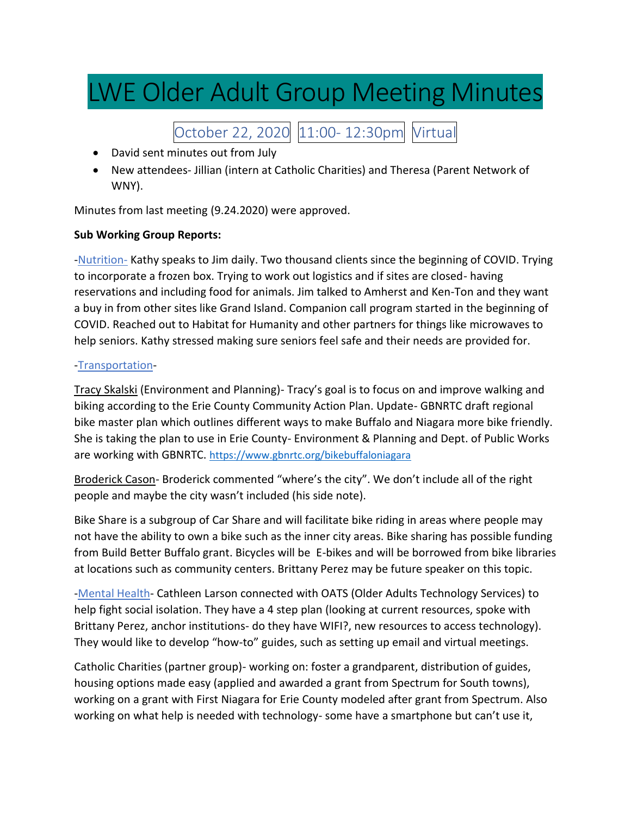## LWE Older Adult Group Meeting Minutes

October 22, 2020 11:00- 12:30pm Virtual

- David sent minutes out from July
- New attendees- Jillian (intern at Catholic Charities) and Theresa (Parent Network of WNY).

Minutes from last meeting (9.24.2020) were approved.

## **Sub Working Group Reports:**

-Nutrition-Kathy speaks to Jim daily. Two thousand clients since the beginning of COVID. Trying to incorporate a frozen box. Trying to work out logistics and if sites are closed- having reservations and including food for animals. Jim talked to Amherst and Ken-Ton and they want a buy in from other sites like Grand Island. Companion call program started in the beginning of COVID. Reached out to Habitat for Humanity and other partners for things like microwaves to help seniors. Kathy stressed making sure seniors feel safe and their needs are provided for.

## -Transportation-

Tracy Skalski (Environment and Planning)- Tracy's goal is to focus on and improve walking and biking according to the Erie County Community Action Plan. Update- GBNRTC draft regional bike master plan which outlines different ways to make Buffalo and Niagara more bike friendly. She is taking the plan to use in Erie County- Environment & Planning and Dept. of Public Works are working with GBNRTC. <https://www.gbnrtc.org/bikebuffaloniagara>

Broderick Cason- Broderick commented "where's the city". We don't include all of the right people and maybe the city wasn't included (his side note).

Bike Share is a subgroup of Car Share and will facilitate bike riding in areas where people may not have the ability to own a bike such as the inner city areas. Bike sharing has possible funding from Build Better Buffalo grant. Bicycles will be E-bikes and will be borrowed from bike libraries at locations such as community centers. Brittany Perez may be future speaker on this topic.

-Mental Health- Cathleen Larson connected with OATS (Older Adults Technology Services) to help fight social isolation. They have a 4 step plan (looking at current resources, spoke with Brittany Perez, anchor institutions- do they have WIFI?, new resources to access technology). They would like to develop "how-to" guides, such as setting up email and virtual meetings.

Catholic Charities (partner group)- working on: foster a grandparent, distribution of guides, housing options made easy (applied and awarded a grant from Spectrum for South towns), working on a grant with First Niagara for Erie County modeled after grant from Spectrum. Also working on what help is needed with technology- some have a smartphone but can't use it,